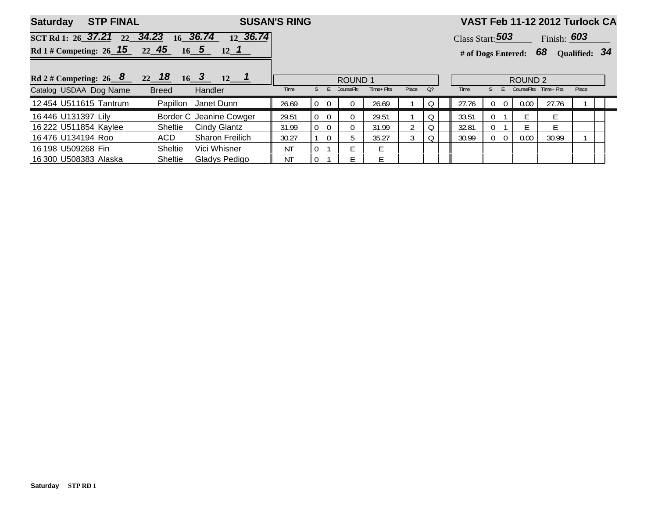| <b>STP FINAL</b><br><b>Saturday</b>               |                                                  | <b>SUSAN'S RING</b> |                            |           |            |       |                    |       |                            |      | VAST Feb 11-12 2012 Turlock CA |               |  |  |  |  |  |  |
|---------------------------------------------------|--------------------------------------------------|---------------------|----------------------------|-----------|------------|-------|--------------------|-------|----------------------------|------|--------------------------------|---------------|--|--|--|--|--|--|
| SCT Rd 1: 26 37.21<br>22                          | 36.74<br>36.74<br>34.23<br>16 <sup>1</sup><br>12 |                     |                            |           |            |       |                    |       | Class Start: $503$         |      | Finish: $603$                  |               |  |  |  |  |  |  |
| Rd 1 # Competing: $26 \quad 15 \quad 22 \quad 45$ | $16\quad 5$<br>$12 \quad 1$                      |                     |                            |           |            |       |                    |       | # of Dogs Entered: 68      |      |                                | Qualified: 34 |  |  |  |  |  |  |
| Rd 2 # Competing: 26 $8$ 22 18 16 3 12 1          |                                                  |                     | <b>ROUND1</b>              |           |            |       | ROUND <sub>2</sub> |       |                            |      |                                |               |  |  |  |  |  |  |
| Catalog USDAA Dog Name                            | <b>Breed</b><br>Handler                          | Time                |                            | :ourse⊦It | Time+ Flts | Place | O <sub>2</sub>     | Time  |                            |      | CourseFlts Time+ Flts          | Place         |  |  |  |  |  |  |
| 12 454 U511615 Tantrum                            | Janet Dunn<br>Papillon                           | 26.69               | $\theta$                   |           | 26.69      |       |                    | 27.76 |                            | 0.00 | 27.76                          |               |  |  |  |  |  |  |
| 16 446 U131397 Lily                               | Border C Jeanine Cowger                          | 29.51               | $\Omega$<br>$\Omega$       |           | 29.51      |       | O                  | 33.51 |                            |      |                                |               |  |  |  |  |  |  |
| 16 222 U511854 Kaylee                             | Cindy Glantz<br><b>Sheltie</b>                   | 31.99               | $\overline{0}$<br>$\Omega$ | 0         | 31.99      |       | 0                  | 32.81 | 0                          |      |                                |               |  |  |  |  |  |  |
| 16476 U134194 Roo                                 | ACD<br><b>Sharon Freilich</b>                    | 30.27               | $\Omega$                   |           | 35.27      |       | 0                  | 30.99 | $\Omega$<br>$\overline{0}$ | 0.00 | 30.99                          |               |  |  |  |  |  |  |
| 16 198 U509268 Fin                                | Sheltie<br>Vici Whisner                          | <b>NT</b>           | $\Omega$                   |           |            |       |                    |       |                            |      |                                |               |  |  |  |  |  |  |
| 16 300 U508383 Alaska                             | Gladys Pedigo<br><b>Sheltie</b>                  | ΝT                  | -0                         |           | F          |       |                    |       |                            |      |                                |               |  |  |  |  |  |  |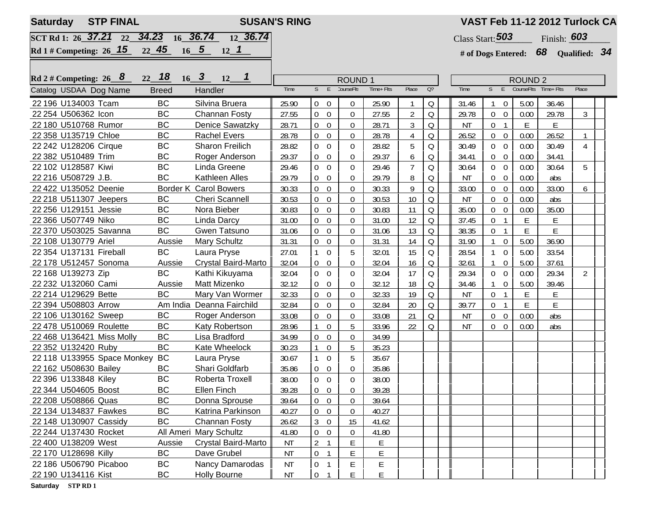| <b>STP FINAL</b><br><b>Saturday</b>  | <b>SUSAN'S RING</b> |                                              |               |                                    |                  | VAST Feb 11-12 2012 Turlock CA |                |                  |                    |                                |                |                                       |                |  |
|--------------------------------------|---------------------|----------------------------------------------|---------------|------------------------------------|------------------|--------------------------------|----------------|------------------|--------------------|--------------------------------|----------------|---------------------------------------|----------------|--|
| SCT Rd 1: 26 37.21 22 34.23 16 36.74 |                     |                                              |               |                                    |                  |                                |                | Class Start: 503 | Finish: <b>603</b> |                                |                |                                       |                |  |
| Rd 1# Competing: $26$ 15             | 22, 45              | 12 36.74<br>$16$ 5 12 1                      |               |                                    |                  |                                |                |                  |                    |                                |                | # of Dogs Entered: $68$ Qualified: 34 |                |  |
|                                      |                     |                                              |               |                                    |                  |                                |                |                  |                    |                                |                |                                       |                |  |
|                                      |                     |                                              |               |                                    |                  |                                |                |                  |                    |                                |                |                                       |                |  |
| Rd 2 # Competing: $26 \overline{8}$  | $22 \quad 18$       | $16\quad 3$<br>$\overline{\mathbf{1}}$<br>12 | <b>ROUND1</b> |                                    |                  |                                |                |                  |                    |                                | <b>ROUND 2</b> |                                       |                |  |
| Catalog USDAA Dog Name               | <b>Breed</b>        | Handler                                      | Time          | S<br>E                             | CourseFlt:       | Time+ Flts                     | Place          | $Q$ ?            | Time               | S<br>E                         |                | CourseFlts Time+Flts                  | Place          |  |
| 22 196 U134003 Tcam                  | <b>BC</b>           | Silvina Bruera                               | 25.90         | $0\quad 0$                         | $\overline{0}$   | 25.90                          |                | Q                | 31.46              | $1\quad 0$                     | 5.00           | 36.46                                 |                |  |
| 22 254 U506362 Icon                  | BC                  | <b>Channan Fosty</b>                         | 27.55         | $\overline{0}$<br>$\overline{0}$   | $\overline{0}$   | 27.55                          | $\overline{2}$ | $\Omega$         | 29.78              | $0\quad 0$                     | 0.00           | 29.78                                 | 3              |  |
| 22 180 U510768 Rumor                 | <b>BC</b>           | <b>Denice Sawatzky</b>                       | 28.71         | $\boldsymbol{0}$<br>$\overline{0}$ | $\overline{0}$   | 28.71                          | $\mathfrak{Z}$ | $\Omega$         | <b>NT</b>          | 0 <sub>1</sub>                 | $\mathsf E$    | E                                     |                |  |
| 22 358 U135719 Chloe                 | BC                  | <b>Rachel Evers</b>                          | 28.78         | $\boldsymbol{0}$<br>$\overline{0}$ | $\overline{0}$   | 28.78                          | 4              | Q                | 26.52              | $0\quad 0$                     | 0.00           | 26.52                                 | $\mathbf{1}$   |  |
| 22 242 U128206 Cirque                | <b>BC</b>           | Sharon Freilich                              | 28.82         | $\boldsymbol{0}$<br>$\overline{0}$ | $\boldsymbol{0}$ | 28.82                          | 5              | Q                | 30.49              | $0\quad 0$                     | 0.00           | 30.49                                 | 4              |  |
| 22 382 U510489 Trim                  | BC                  | Roger Anderson                               | 29.37         | $\pmb{0}$<br>$\boldsymbol{0}$      | $\overline{0}$   | 29.37                          | 6              | Q                | 34.41              | $\overline{0}$<br>$\mathbf 0$  | 0.00           | 34.41                                 |                |  |
| 22 102 U128587 Kiwi                  | BC                  | Linda Greene                                 | 29.46         | $\overline{0}$<br>$\mathbf 0$      | $\Omega$         | 29.46                          | $\overline{7}$ | Q                | 30.64              | $0\quad 0$                     | 0.00           | 30.64                                 | 5              |  |
| 22 216 U508729 J.B.                  | <b>BC</b>           | Kathleen Alles                               | 29.79         | $\overline{0}$<br>$\overline{0}$   | $\overline{0}$   | 29.79                          | 8              | Q                | ΝT                 | $0\quad 0$                     | 0.00           | abs                                   |                |  |
| 22 422 U135052 Deenie                |                     | <b>Border K Carol Bowers</b>                 | 30.33         | $\overline{0}$<br>$\overline{0}$   | $\overline{0}$   | 30.33                          | 9              | Q                | 33.00              | $0\quad 0$                     | 0.00           | 33.00                                 | 6              |  |
| 22 218 U511307 Jeepers               | BC                  | <b>Cheri Scannell</b>                        | 30.53         | $\boldsymbol{0}$<br>$\overline{0}$ | $\theta$         | 30.53                          | 10             | Q                | <b>NT</b>          | $0\quad 0$                     | 0.00           | abs                                   |                |  |
| 22 256 U129151 Jessie                | <b>BC</b>           | Nora Bieber                                  | 30.83         | $\boldsymbol{0}$<br>$\overline{0}$ | $\overline{0}$   | 30.83                          | 11             | Q                | 35.00              | $0\quad 0$                     | 0.00           | 35.00                                 |                |  |
| 22 366 U507749 Niko                  | <b>BC</b>           | Linda Darcy                                  | 31.00         | $\boldsymbol{0}$<br>$\overline{0}$ | $\mathbf 0$      | 31.00                          | 12             | Q                | 37.45              | 0 <sub>1</sub>                 | E              | E                                     |                |  |
| 22 370 U503025 Savanna               | <b>BC</b>           | <b>Gwen Tatsuno</b>                          | 31.06         | $\boldsymbol{0}$<br>$\overline{0}$ | $\overline{0}$   | 31.06                          | 13             | Q                | 38.35              | 0 <sub>1</sub>                 | E              | E                                     |                |  |
| 22 108 U130779 Ariel                 | Aussie              | Mary Schultz                                 | 31.31         | $\mathbf 0$<br>$\overline{0}$      | $\overline{0}$   | 31.31                          | 14             | Q                | 31.90              | $\overline{0}$<br>$\mathbf{1}$ | 5.00           | 36.90                                 |                |  |
| 22 354 U137131 Fireball              | <b>BC</b>           | Laura Pryse                                  | 27.01         | $\mathbf{1}$<br>$\overline{0}$     | 5                | 32.01                          | 15             | Q                | 28.54              | $1 \quad 0$                    | 5.00           | 33.54                                 |                |  |
| 22 178 U512457 Sonoma                | Aussie              | Crystal Baird-Marto                          | 32.04         | $\overline{0}$<br>$\overline{0}$   | $\overline{0}$   | 32.04                          | 16             | Q                | 32.61              | $\overline{0}$<br>$\mathbf{1}$ | 5.00           | 37.61                                 |                |  |
| 22 168 U139273 Zip                   | <b>BC</b>           | Kathi Kikuyama                               | 32.04         | $\overline{0}$<br>$\overline{0}$   | $\Omega$         | 32.04                          | 17             | Q                | 29.34              | $0\quad 0$                     | 0.00           | 29.34                                 | $\overline{2}$ |  |
| 22 232 U132060 Cami                  | Aussie              | Matt Mizenko                                 | 32.12         | $\overline{0}$<br>$\overline{0}$   | $\overline{0}$   | 32.12                          | 18             | Q                | 34.46              | $\overline{0}$<br>$\mathbf{1}$ | 5.00           | 39.46                                 |                |  |
| 22 214 U129629 Bette                 | <b>BC</b>           | Mary Van Wormer                              | 32.33         | $\boldsymbol{0}$<br>$\overline{0}$ | $\overline{0}$   | 32.33                          | 19             | Q                | <b>NT</b>          | 0 <sub>1</sub>                 | E              | E                                     |                |  |
| 22 394 U508803 Arrow                 |                     | Am India Deanna Fairchild                    | 32.84         | $\boldsymbol{0}$<br>$\overline{0}$ | $\mathbf 0$      | 32.84                          | 20             | Q                | 39.77              | 0 <sub>1</sub>                 | E              | E                                     |                |  |
| 22 106 U130162 Sweep                 | <b>BC</b>           | Roger Anderson                               | 33.08         | $\boldsymbol{0}$<br>$\overline{0}$ | $\mathbf 0$      | 33.08                          | 21             | Q                | NT                 | $0\quad 0$                     | 0.00           | abs                                   |                |  |
| 22 478 U510069 Roulette              | BC                  | Katy Robertson                               | 28.96         | $\boldsymbol{0}$                   | 5                | 33.96                          | 22             | 0                | <b>NT</b>          | $0\quad 0$                     | 0.00           | abs                                   |                |  |
| 22 468 U136421 Miss Molly            | <b>BC</b>           | Lisa Bradford                                | 34.99         | $\overline{0}$<br>$\boldsymbol{0}$ | $\mathbf 0$      | 34.99                          |                |                  |                    |                                |                |                                       |                |  |
| 22 352 U132420 Ruby                  | <b>BC</b>           | Kate Wheelock                                | 30.23         | $\boldsymbol{0}$<br>1              | 5                | 35.23                          |                |                  |                    |                                |                |                                       |                |  |
| 22 118 U133955 Space Monkey          | <b>BC</b>           | Laura Pryse                                  | 30.67         | $\mathbf 0$<br>$\mathbf{1}$        | 5                | 35.67                          |                |                  |                    |                                |                |                                       |                |  |
| 22 162 U508630 Bailey                | BC                  | Shari Goldfarb                               | 35.86         | $\overline{0}$<br>$\overline{0}$   | $\overline{0}$   | 35.86                          |                |                  |                    |                                |                |                                       |                |  |
| 22 396 U133848 Kiley                 | <b>BC</b>           | Roberta Troxell                              | 38.00         | $\overline{0}$<br>$\overline{0}$   | $\Omega$         | 38.00                          |                |                  |                    |                                |                |                                       |                |  |
| 22 344 U504605 Boost                 | BC                  | Ellen Finch                                  | 39.28         | $0\quad 0$                         | $\boldsymbol{0}$ | 39.28                          |                |                  |                    |                                |                |                                       |                |  |
| 22 208 U508866 Quas                  | <b>BC</b>           | Donna Sprouse                                | 39.64         | $\boldsymbol{0}$<br>$\overline{0}$ | $\overline{0}$   | 39.64                          |                |                  |                    |                                |                |                                       |                |  |
| 22 134 U134837 Fawkes                | BC                  | Katrina Parkinson                            | 40.27         | $\overline{0}$<br>$\overline{0}$   | $\overline{0}$   | 40.27                          |                |                  |                    |                                |                |                                       |                |  |
| 22 148 U130907 Cassidy               | <b>BC</b>           | Channan Fosty                                | 26.62         | $\mathfrak{Z}$<br>$\overline{0}$   | 15               | 41.62                          |                |                  |                    |                                |                |                                       |                |  |
| 22 244 U137430 Rocket                |                     | All Ameri Mary Schultz                       | 41.80         | $\overline{0}$<br>$\overline{0}$   | $\overline{0}$   | 41.80                          |                |                  |                    |                                |                |                                       |                |  |
| 22 400 U138209 West                  | Aussie              | Crystal Baird-Marto                          | ΝT            | $\overline{2}$                     | Ε                | E                              |                |                  |                    |                                |                |                                       |                |  |
| 22 170 U128698 Killy                 | BC                  | Dave Grubel                                  | ΝT            | $\boldsymbol{0}$<br>$\mathbf{1}$   | Е                | E                              |                |                  |                    |                                |                |                                       |                |  |
| 22 186 U506790 Picaboo               | BC                  | Nancy Damarodas                              | ΝT            | $\boldsymbol{0}$<br>$\mathbf{1}$   | E                | E                              |                |                  |                    |                                |                |                                       |                |  |
| 22 190 U134116 Kist                  | ВC                  | <b>Holly Bourne</b>                          | ΝT            | $\boldsymbol{0}$                   | Е                | E                              |                |                  |                    |                                |                |                                       |                |  |
|                                      |                     |                                              |               |                                    |                  |                                |                |                  |                    |                                |                |                                       |                |  |

**Saturday STP RD 1**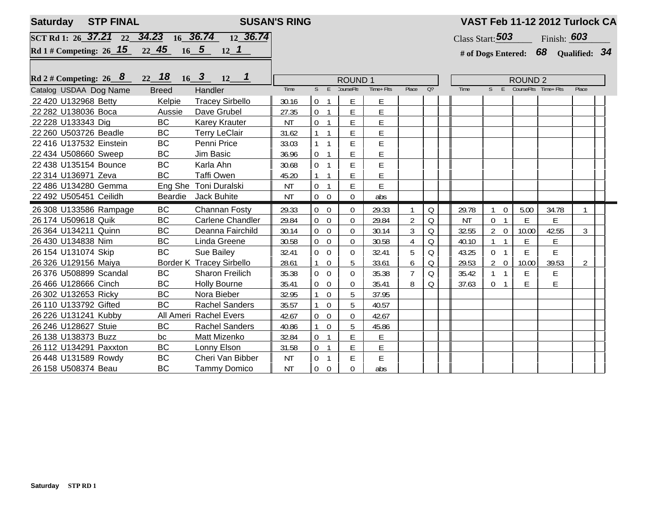| <b>STP FINAL</b><br><b>SUSAN'S RING</b><br><b>Saturday</b> |              |                                 |               |                                          |                |                |                |                                                                                                            |                    | VAST Feb 11-12 2012 Turlock CA |                                       |                      |       |  |  |  |  |  |
|------------------------------------------------------------|--------------|---------------------------------|---------------|------------------------------------------|----------------|----------------|----------------|------------------------------------------------------------------------------------------------------------|--------------------|--------------------------------|---------------------------------------|----------------------|-------|--|--|--|--|--|
| SCT Rd 1: 26 37.21 22 34.23 16 36.74 12 36.74              |              |                                 |               |                                          |                |                |                |                                                                                                            | Class Start: $503$ |                                | Finish: 603                           |                      |       |  |  |  |  |  |
| Rd 1 # Competing: 26 15 22 45                              |              |                                 |               |                                          |                |                |                |                                                                                                            |                    |                                | # of Dogs Entered: $68$ Qualified: 34 |                      |       |  |  |  |  |  |
|                                                            |              |                                 |               |                                          |                |                |                |                                                                                                            |                    |                                |                                       |                      |       |  |  |  |  |  |
| Rd 2 # Competing: 26 $8$                                   |              |                                 | <b>ROUND1</b> |                                          |                | <b>ROUND 2</b> |                |                                                                                                            |                    |                                |                                       |                      |       |  |  |  |  |  |
| Catalog USDAA Dog Name                                     | <b>Breed</b> | Handler                         | Time          | $S$ E                                    | CourseFlt:     | Time+ Flts     | Place          | O <sub>2</sub>                                                                                             | Time               | $S$ $E$                        |                                       | CourseFlts Time+Flts | Place |  |  |  |  |  |
| 22 420 U132968 Betty                                       | Kelpie       | <b>Tracey Sirbello</b>          | 30.16         | $\mathbf 0$<br>$\mathbf{1}$              | E              | E              |                |                                                                                                            |                    |                                |                                       |                      |       |  |  |  |  |  |
| 22 282 U138036 Boca                                        | Aussie       | Dave Grubel                     | 27.35         | 0 <sub>1</sub>                           | E              | E              |                |                                                                                                            |                    |                                |                                       |                      |       |  |  |  |  |  |
| 22 228 U133343 Dig                                         | BC           | <b>Karey Krauter</b>            | <b>NT</b>     | $\overline{0}$<br>$\overline{1}$         | E              | E              |                |                                                                                                            |                    |                                |                                       |                      |       |  |  |  |  |  |
| 22 260 U503726 Beadle                                      | BC           | <b>Terry LeClair</b>            | 31.62         | $\overline{\phantom{0}}$<br>$\mathbf{1}$ | E              | E              |                |                                                                                                            |                    |                                |                                       |                      |       |  |  |  |  |  |
| 22 416 U137532 Einstein                                    | <b>BC</b>    | Penni Price                     | 33.03         | $\mathbf{1}$<br>$\overline{1}$           | E              | E              |                |                                                                                                            |                    |                                |                                       |                      |       |  |  |  |  |  |
| 22 434 U508660 Sweep                                       | BC           | Jim Basic                       | 36.96         | $\boldsymbol{0}$<br>$\overline{1}$       | E              | E              |                |                                                                                                            |                    |                                |                                       |                      |       |  |  |  |  |  |
| 22 438 U135154 Bounce                                      | <b>BC</b>    | Karla Ahn                       | 30.68         | $\overline{0}$<br>$\overline{1}$         | E              | E              |                |                                                                                                            |                    |                                |                                       |                      |       |  |  |  |  |  |
| 22 314 U136971 Zeva                                        | <b>BC</b>    | <b>Taffi Owen</b>               | 45.20         | $\mathbf{1}$                             | E              | E              |                |                                                                                                            |                    |                                |                                       |                      |       |  |  |  |  |  |
| 22 486 U134280 Gemma                                       |              | Eng She Toni Duralski           | <b>NT</b>     | 0 <sub>1</sub>                           | E              | E              |                |                                                                                                            |                    |                                |                                       |                      |       |  |  |  |  |  |
| 22 492 U505451 Ceilidh                                     | Beardie      | Jack Buhite                     | <b>NT</b>     | $\boldsymbol{0}$<br>$\boldsymbol{0}$     | 0              | abs            |                |                                                                                                            |                    |                                |                                       |                      |       |  |  |  |  |  |
| 26 308 U133586 Rampage                                     | <b>BC</b>    | Channan Fosty                   | 29.33         | $\overline{0}$<br>$\overline{0}$         | 0              | 29.33          | 1              | Q                                                                                                          | 29.78              | $1 \quad 0$                    | 5.00                                  | 34.78                |       |  |  |  |  |  |
| 26 174 U509618 Quik                                        | <b>BC</b>    | Carlene Chandler                | 29.84         | $\mathbf 0$<br>$\overline{0}$            | $\overline{0}$ | 29.84          | $\overline{2}$ | $\mathsf{Q}% _{T}=\mathsf{Q}_{T}\!\left( a,b\right) ,\ \mathsf{Q}_{T}=\mathsf{Q}_{T}\!\left( a,b\right) ,$ | <b>NT</b>          | 0 <sub>1</sub>                 | E                                     | E                    |       |  |  |  |  |  |
| 26 364 U134211 Quinn                                       | <b>BC</b>    | Deanna Fairchild                | 30.14         | $0\quad 0$                               | 0              | 30.14          | 3              | $\mathsf{Q}% _{T}=\mathsf{Q}_{T}\!\left( a,b\right) ,\ \mathsf{Q}_{T}=\mathsf{Q}_{T}\!\left( a,b\right) ,$ | 32.55              | $2 \quad 0$                    | 10.00                                 | 42.55                | 3     |  |  |  |  |  |
| 26 430 U134838 Nim                                         | <b>BC</b>    | Linda Greene                    | 30.58         | $\boldsymbol{0}$<br>$\overline{0}$       | 0              | 30.58          | $\overline{4}$ | Q                                                                                                          | 40.10              | $\mathbf{1}$<br>$\mathbf{1}$   | E                                     | $\mathsf E$          |       |  |  |  |  |  |
| 26 154 U131074 Skip                                        | <b>BC</b>    | Sue Bailey                      | 32.41         | $\overline{0}$<br>$\overline{0}$         | $\Omega$       | 32.41          | 5              | Q                                                                                                          | 43.25              | 0 <sub>1</sub>                 | E.                                    | E                    |       |  |  |  |  |  |
| 26 326 U129156 Maiya                                       |              | <b>Border K Tracey Sirbello</b> | 28.61         | $\boldsymbol{0}$<br>$\mathbf{1}$         | 5              | 33.61          | 6              | Q                                                                                                          | 29.53              | $2 \quad 0$                    | 10.00                                 | 39.53                | 2     |  |  |  |  |  |
| 26 376 U508899 Scandal                                     | <b>BC</b>    | <b>Sharon Freilich</b>          | 35.38         | $\overline{0}$<br>$\Omega$               | 0              | 35.38          | $\overline{7}$ | $\circ$                                                                                                    | 35.42              | $1 \quad 1$                    | E                                     | E                    |       |  |  |  |  |  |
| 26 466 U128666 Cinch                                       | BC           | <b>Holly Bourne</b>             | 35.41         | 0<br>$\overline{0}$                      | 0              | 35.41          | 8              | Q                                                                                                          | 37.63              | $\overline{0}$<br>$\mathbf{1}$ | E                                     | E                    |       |  |  |  |  |  |
| 26 302 U132653 Ricky                                       | <b>BC</b>    | Nora Bieber                     | 32.95         | $\overline{0}$                           | 5              | 37.95          |                |                                                                                                            |                    |                                |                                       |                      |       |  |  |  |  |  |
| 26 110 U133792 Gifted                                      | <b>BC</b>    | <b>Rachel Sanders</b>           | 35.57         | $\overline{0}$<br>1                      | 5              | 40.57          |                |                                                                                                            |                    |                                |                                       |                      |       |  |  |  |  |  |
| 26 226 U131241 Kubby                                       |              | All Ameri Rachel Evers          | 42.67         | $\overline{0}$<br>$\mathbf 0$            | $\overline{0}$ | 42.67          |                |                                                                                                            |                    |                                |                                       |                      |       |  |  |  |  |  |
| 26 246 U128627 Stuie                                       | <b>BC</b>    | <b>Rachel Sanders</b>           | 40.86         | $\mathbf{1}$<br>$\overline{0}$           | 5              | 45.86          |                |                                                                                                            |                    |                                |                                       |                      |       |  |  |  |  |  |
| 26 138 U138373 Buzz                                        | bc           | Matt Mizenko                    | 32.84         | $\overline{0}$<br>$\overline{1}$         | E              | E              |                |                                                                                                            |                    |                                |                                       |                      |       |  |  |  |  |  |
| 26 112 U134291 Paxxton                                     | BC           | Lonny Elson                     | 31.58         | $\overline{0}$<br>$\overline{1}$         | E              | E              |                |                                                                                                            |                    |                                |                                       |                      |       |  |  |  |  |  |
| 26 448 U131589 Rowdy                                       | <b>BC</b>    | Cheri Van Bibber                | <b>NT</b>     | 0<br>$\overline{\mathbf{1}}$             | E              | E              |                |                                                                                                            |                    |                                |                                       |                      |       |  |  |  |  |  |
| 26 158 U508374 Beau                                        | <b>BC</b>    | <b>Tammy Domico</b>             | <b>NT</b>     | $\boldsymbol{0}$<br>$\overline{0}$       | 0              | abs            |                |                                                                                                            |                    |                                |                                       |                      |       |  |  |  |  |  |